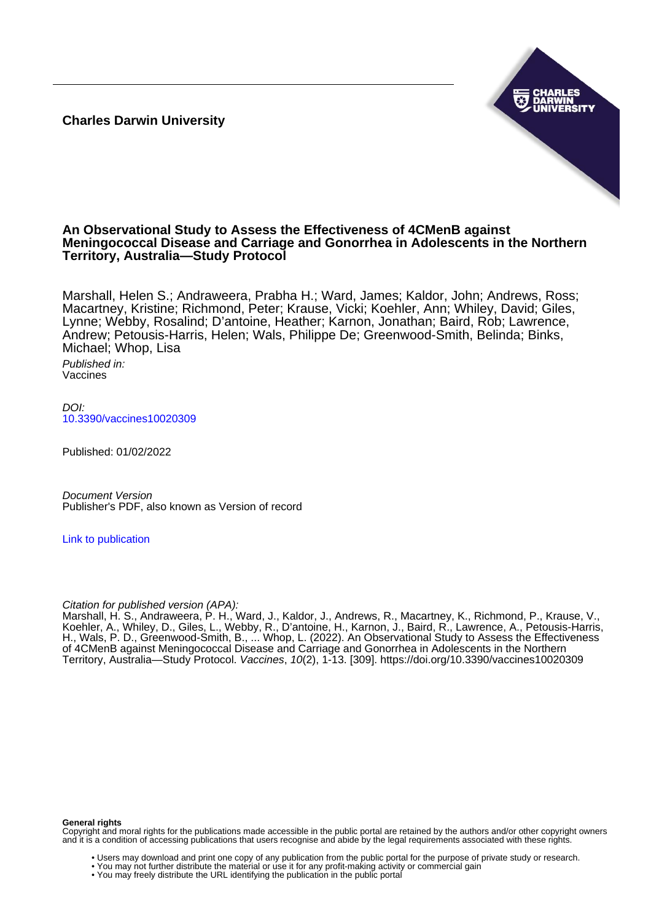**Charles Darwin University**



# **An Observational Study to Assess the Effectiveness of 4CMenB against Meningococcal Disease and Carriage and Gonorrhea in Adolescents in the Northern Territory, Australia—Study Protocol**

Marshall, Helen S.; Andraweera, Prabha H.; Ward, James; Kaldor, John; Andrews, Ross; Macartney, Kristine; Richmond, Peter; Krause, Vicki; Koehler, Ann; Whiley, David; Giles, Lynne; Webby, Rosalind; D'antoine, Heather; Karnon, Jonathan; Baird, Rob; Lawrence, Andrew; Petousis-Harris, Helen; Wals, Philippe De; Greenwood-Smith, Belinda; Binks, Michael; Whop, Lisa

Published in: Vaccines

 $D$ [10.3390/vaccines10020309](https://doi.org/10.3390/vaccines10020309)

Published: 01/02/2022

Document Version Publisher's PDF, also known as Version of record

[Link to publication](https://researchers.cdu.edu.au/en/publications/2e51ab7a-e00d-46df-b905-d576aecb3714)

Citation for published version (APA):

Marshall, H. S., Andraweera, P. H., Ward, J., Kaldor, J., Andrews, R., Macartney, K., Richmond, P., Krause, V., Koehler, A., Whiley, D., Giles, L., Webby, R., D'antoine, H., Karnon, J., Baird, R., Lawrence, A., Petousis-Harris, H., Wals, P. D., Greenwood-Smith, B., ... Whop, L. (2022). An Observational Study to Assess the Effectiveness of 4CMenB against Meningococcal Disease and Carriage and Gonorrhea in Adolescents in the Northern Territory, Australia—Study Protocol. Vaccines, 10(2), 1-13. [309]. <https://doi.org/10.3390/vaccines10020309>

#### **General rights**

Copyright and moral rights for the publications made accessible in the public portal are retained by the authors and/or other copyright owners and it is a condition of accessing publications that users recognise and abide by the legal requirements associated with these rights.

- Users may download and print one copy of any publication from the public portal for the purpose of private study or research.
- You may not further distribute the material or use it for any profit-making activity or commercial gain
- You may freely distribute the URL identifying the publication in the public portal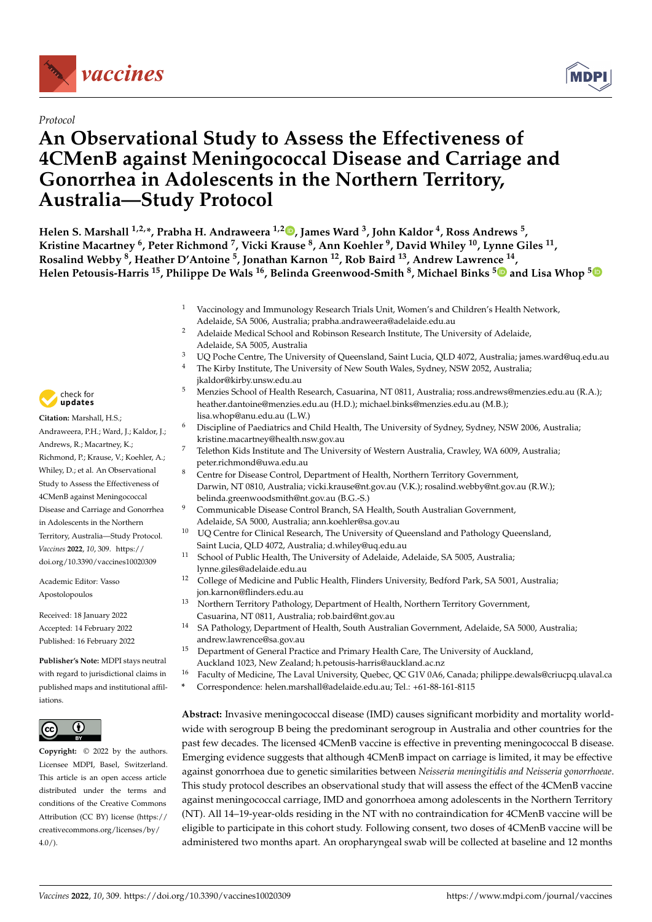

# *Protocol*

# **An Observational Study to Assess the Effectiveness of 4CMenB against Meningococcal Disease and Carriage and Gonorrhea in Adolescents in the Northern Territory, Australia—Study Protocol**



**Helen S. Marshall 1,2,\*, Prabha H. Andraweera 1,[2](https://orcid.org/0000-0003-2434-8370) , James Ward <sup>3</sup> , John Kaldor <sup>4</sup> , Ross Andrews <sup>5</sup> , Kristine Macartney <sup>6</sup> , Peter Richmond <sup>7</sup> , Vicki Krause <sup>8</sup> , Ann Koehler <sup>9</sup> , David Whiley <sup>10</sup>, Lynne Giles <sup>11</sup> , Rosalind Webby <sup>8</sup> , Heather D'Antoine <sup>5</sup> , Jonathan Karnon <sup>12</sup>, Rob Baird <sup>13</sup>, Andrew Lawrence <sup>14</sup> , Helen Petousis-Harris <sup>15</sup>, Philippe De Wals <sup>16</sup>, Belinda Greenwood-Smith <sup>8</sup> , Michael Binks [5](https://orcid.org/0000-0001-5455-690X) and Lisa Whop [5](https://orcid.org/0000-0003-4816-2933)**

- <sup>1</sup> Vaccinology and Immunology Research Trials Unit, Women's and Children's Health Network, Adelaide, SA 5006, Australia; prabha.andraweera@adelaide.edu.au
- <sup>2</sup> Adelaide Medical School and Robinson Research Institute, The University of Adelaide, Adelaide, SA 5005, Australia
- <sup>3</sup> UQ Poche Centre, The University of Queensland, Saint Lucia, QLD 4072, Australia; james.ward@uq.edu.au  $\frac{4}{1}$ . The Virky Institute, The University of New South Wales, Sydney, NSW 2052, Australia;
- The Kirby Institute, The University of New South Wales, Sydney, NSW 2052, Australia; jkaldor@kirby.unsw.edu.au
- <sup>5</sup> Menzies School of Health Research, Casuarina, NT 0811, Australia; ross.andrews@menzies.edu.au (R.A.); heather.dantoine@menzies.edu.au (H.D.); michael.binks@menzies.edu.au (M.B.); lisa.whop@anu.edu.au (L.W.)
- <sup>6</sup> Discipline of Paediatrics and Child Health, The University of Sydney, Sydney, NSW 2006, Australia; kristine.macartney@health.nsw.gov.au
- <sup>7</sup> Telethon Kids Institute and The University of Western Australia, Crawley, WA 6009, Australia; peter.richmond@uwa.edu.au
- <sup>8</sup> Centre for Disease Control, Department of Health, Northern Territory Government, Darwin, NT 0810, Australia; vicki.krause@nt.gov.au (V.K.); rosalind.webby@nt.gov.au (R.W.); belinda.greenwoodsmith@nt.gov.au (B.G.-S.)
- <sup>9</sup> Communicable Disease Control Branch, SA Health, South Australian Government, Adelaide, SA 5000, Australia; ann.koehler@sa.gov.au
- <sup>10</sup> UQ Centre for Clinical Research, The University of Queensland and Pathology Queensland, Saint Lucia, QLD 4072, Australia; d.whiley@uq.edu.au
- <sup>11</sup> School of Public Health, The University of Adelaide, Adelaide, SA 5005, Australia; lynne.giles@adelaide.edu.au
- <sup>12</sup> College of Medicine and Public Health, Flinders University, Bedford Park, SA 5001, Australia; jon.karnon@flinders.edu.au
- <sup>13</sup> Northern Territory Pathology, Department of Health, Northern Territory Government, Casuarina, NT 0811, Australia; rob.baird@nt.gov.au
- <sup>14</sup> SA Pathology, Department of Health, South Australian Government, Adelaide, SA 5000, Australia; andrew.lawrence@sa.gov.au
- <sup>15</sup> Department of General Practice and Primary Health Care, The University of Auckland, Auckland 1023, New Zealand; h.petousis-harris@auckland.ac.nz
- <sup>16</sup> Faculty of Medicine, The Laval University, Quebec, QC G1V 0A6, Canada; philippe.dewals@criucpq.ulaval.ca
- **\*** Correspondence: helen.marshall@adelaide.edu.au; Tel.: +61-88-161-8115

**Abstract:** Invasive meningococcal disease (IMD) causes significant morbidity and mortality worldwide with serogroup B being the predominant serogroup in Australia and other countries for the past few decades. The licensed 4CMenB vaccine is effective in preventing meningococcal B disease. Emerging evidence suggests that although 4CMenB impact on carriage is limited, it may be effective against gonorrhoea due to genetic similarities between *Neisseria meningitidis and Neisseria gonorrhoeae*. This study protocol describes an observational study that will assess the effect of the 4CMenB vaccine against meningococcal carriage, IMD and gonorrhoea among adolescents in the Northern Territory (NT). All 14–19-year-olds residing in the NT with no contraindication for 4CMenB vaccine will be eligible to participate in this cohort study. Following consent, two doses of 4CMenB vaccine will be administered two months apart. An oropharyngeal swab will be collected at baseline and 12 months



**Citation:** Marshall, H.S.; Andraweera, P.H.; Ward, J.; Kaldor, J.; Andrews, R.; Macartney, K.; Richmond, P.; Krause, V.; Koehler, A.; Whiley, D.; et al. An Observational Study to Assess the Effectiveness of 4CMenB against Meningococcal Disease and Carriage and Gonorrhea in Adolescents in the Northern Territory, Australia—Study Protocol. *Vaccines* **2022**, *10*, 309. [https://](https://doi.org/10.3390/vaccines10020309) [doi.org/10.3390/vaccines10020309](https://doi.org/10.3390/vaccines10020309)

Academic Editor: Vasso Apostolopoulos

Received: 18 January 2022 Accepted: 14 February 2022 Published: 16 February 2022

**Publisher's Note:** MDPI stays neutral with regard to jurisdictional claims in published maps and institutional affiliations.



**Copyright:** © 2022 by the authors. Licensee MDPI, Basel, Switzerland. This article is an open access article distributed under the terms and conditions of the Creative Commons Attribution (CC BY) license [\(https://](https://creativecommons.org/licenses/by/4.0/) [creativecommons.org/licenses/by/](https://creativecommons.org/licenses/by/4.0/)  $4.0/$ ).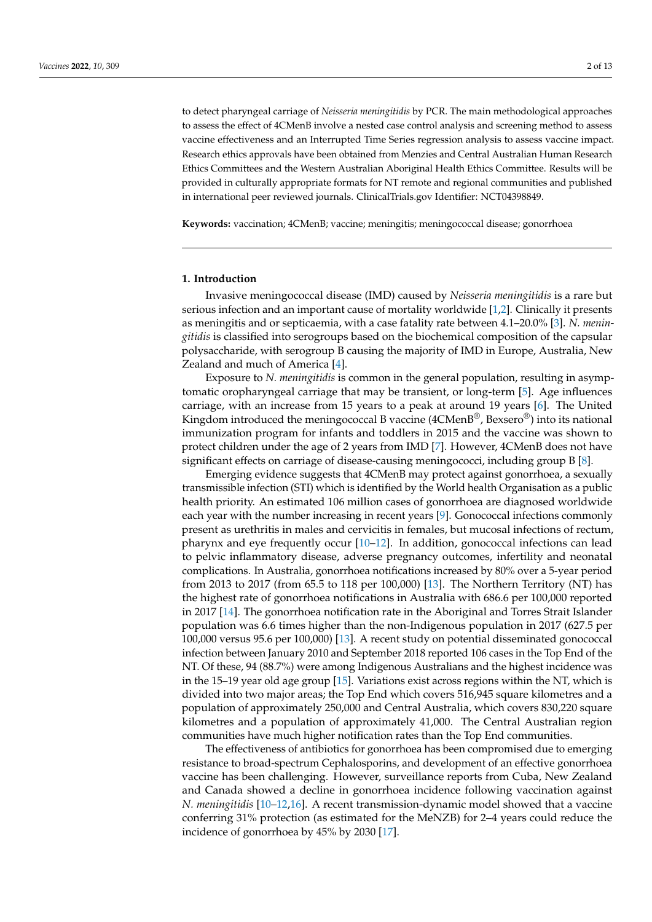to detect pharyngeal carriage of *Neisseria meningitidis* by PCR. The main methodological approaches to assess the effect of 4CMenB involve a nested case control analysis and screening method to assess vaccine effectiveness and an Interrupted Time Series regression analysis to assess vaccine impact. Research ethics approvals have been obtained from Menzies and Central Australian Human Research Ethics Committees and the Western Australian Aboriginal Health Ethics Committee. Results will be provided in culturally appropriate formats for NT remote and regional communities and published in international peer reviewed journals. ClinicalTrials.gov Identifier: NCT04398849.

**Keywords:** vaccination; 4CMenB; vaccine; meningitis; meningococcal disease; gonorrhoea

#### **1. Introduction**

Invasive meningococcal disease (IMD) caused by *Neisseria meningitidis* is a rare but serious infection and an important cause of mortality worldwide [\[1](#page-12-0)[,2\]](#page-12-1). Clinically it presents as meningitis and or septicaemia, with a case fatality rate between 4.1–20.0% [\[3\]](#page-12-2). *N. meningitidis* is classified into serogroups based on the biochemical composition of the capsular polysaccharide, with serogroup B causing the majority of IMD in Europe, Australia, New Zealand and much of America [\[4\]](#page-12-3).

Exposure to *N. meningitidis* is common in the general population, resulting in asymptomatic oropharyngeal carriage that may be transient, or long-term [\[5\]](#page-12-4). Age influences carriage, with an increase from 15 years to a peak at around 19 years [\[6\]](#page-12-5). The United Kingdom introduced the meningococcal B vaccine (4CMenB®, Bexsero®) into its national immunization program for infants and toddlers in 2015 and the vaccine was shown to protect children under the age of 2 years from IMD [\[7\]](#page-12-6). However, 4CMenB does not have significant effects on carriage of disease-causing meningococci, including group B [\[8\]](#page-12-7).

Emerging evidence suggests that 4CMenB may protect against gonorrhoea, a sexually transmissible infection (STI) which is identified by the World health Organisation as a public health priority. An estimated 106 million cases of gonorrhoea are diagnosed worldwide each year with the number increasing in recent years [\[9\]](#page-12-8). Gonococcal infections commonly present as urethritis in males and cervicitis in females, but mucosal infections of rectum, pharynx and eye frequently occur [\[10–](#page-12-9)[12\]](#page-12-10). In addition, gonococcal infections can lead to pelvic inflammatory disease, adverse pregnancy outcomes, infertility and neonatal complications. In Australia, gonorrhoea notifications increased by 80% over a 5-year period from 2013 to 2017 (from 65.5 to 118 per 100,000) [\[13\]](#page-12-11). The Northern Territory (NT) has the highest rate of gonorrhoea notifications in Australia with 686.6 per 100,000 reported in 2017 [\[14\]](#page-12-12). The gonorrhoea notification rate in the Aboriginal and Torres Strait Islander population was 6.6 times higher than the non-Indigenous population in 2017 (627.5 per 100,000 versus 95.6 per 100,000) [\[13\]](#page-12-11). A recent study on potential disseminated gonococcal infection between January 2010 and September 2018 reported 106 cases in the Top End of the NT. Of these, 94 (88.7%) were among Indigenous Australians and the highest incidence was in the 15–19 year old age group [\[15\]](#page-12-13). Variations exist across regions within the NT, which is divided into two major areas; the Top End which covers 516,945 square kilometres and a population of approximately 250,000 and Central Australia, which covers 830,220 square kilometres and a population of approximately 41,000. The Central Australian region communities have much higher notification rates than the Top End communities.

The effectiveness of antibiotics for gonorrhoea has been compromised due to emerging resistance to broad-spectrum Cephalosporins, and development of an effective gonorrhoea vaccine has been challenging. However, surveillance reports from Cuba, New Zealand and Canada showed a decline in gonorrhoea incidence following vaccination against *N. meningitidis* [\[10–](#page-12-9)[12,](#page-12-10)[16\]](#page-12-14). A recent transmission-dynamic model showed that a vaccine conferring 31% protection (as estimated for the MeNZB) for 2–4 years could reduce the incidence of gonorrhoea by 45% by 2030 [\[17\]](#page-12-15).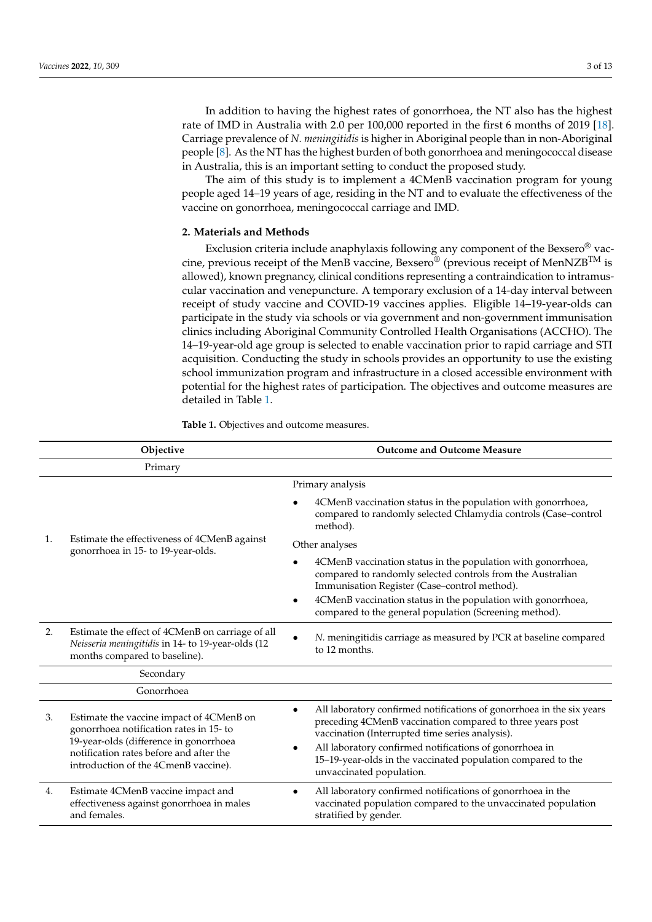In addition to having the highest rates of gonorrhoea, the NT also has the highest rate of IMD in Australia with 2.0 per 100,000 reported in the first 6 months of 2019 [\[18\]](#page-12-16). Carriage prevalence of *N. meningitidis* is higher in Aboriginal people than in non-Aboriginal people [\[8\]](#page-12-7). As the NT has the highest burden of both gonorrhoea and meningococcal disease in Australia, this is an important setting to conduct the proposed study.

The aim of this study is to implement a 4CMenB vaccination program for young people aged 14–19 years of age, residing in the NT and to evaluate the effectiveness of the vaccine on gonorrhoea, meningococcal carriage and IMD.

# **2. Materials and Methods**

Exclusion criteria include anaphylaxis following any component of the Bexsero® vaccine, previous receipt of the MenB vaccine, Bexsero<sup>®</sup> (previous receipt of MenNZB<sup>TM</sup> is allowed), known pregnancy, clinical conditions representing a contraindication to intramuscular vaccination and venepuncture. A temporary exclusion of a 14-day interval between receipt of study vaccine and COVID-19 vaccines applies. Eligible 14–19-year-olds can participate in the study via schools or via government and non-government immunisation clinics including Aboriginal Community Controlled Health Organisations (ACCHO). The 14–19-year-old age group is selected to enable vaccination prior to rapid carriage and STI acquisition. Conducting the study in schools provides an opportunity to use the existing school immunization program and infrastructure in a closed accessible environment with potential for the highest rates of participation. The objectives and outcome measures are detailed in Table [1.](#page-3-0)

| Objective  |                                                                                                                                                                                                                  | <b>Outcome and Outcome Measure</b>                                                                                                                                                                                                                                                                                                                             |  |
|------------|------------------------------------------------------------------------------------------------------------------------------------------------------------------------------------------------------------------|----------------------------------------------------------------------------------------------------------------------------------------------------------------------------------------------------------------------------------------------------------------------------------------------------------------------------------------------------------------|--|
| Primary    |                                                                                                                                                                                                                  |                                                                                                                                                                                                                                                                                                                                                                |  |
|            | Estimate the effectiveness of 4CMenB against<br>gonorrhoea in 15- to 19-year-olds.                                                                                                                               | Primary analysis                                                                                                                                                                                                                                                                                                                                               |  |
| 1.         |                                                                                                                                                                                                                  | 4CMenB vaccination status in the population with gonorrhoea,<br>compared to randomly selected Chlamydia controls (Case-control<br>method).                                                                                                                                                                                                                     |  |
|            |                                                                                                                                                                                                                  | Other analyses                                                                                                                                                                                                                                                                                                                                                 |  |
|            |                                                                                                                                                                                                                  | 4CMenB vaccination status in the population with gonorrhoea,<br>compared to randomly selected controls from the Australian<br>Immunisation Register (Case-control method).<br>4CMenB vaccination status in the population with gonorrhoea,<br>$\bullet$<br>compared to the general population (Screening method).                                              |  |
| 2.         | Estimate the effect of 4CMenB on carriage of all<br>Neisseria meningitidis in 14- to 19-year-olds (12<br>months compared to baseline).                                                                           | N. meningitidis carriage as measured by PCR at baseline compared<br>to 12 months.                                                                                                                                                                                                                                                                              |  |
|            | Secondary                                                                                                                                                                                                        |                                                                                                                                                                                                                                                                                                                                                                |  |
| Gonorrhoea |                                                                                                                                                                                                                  |                                                                                                                                                                                                                                                                                                                                                                |  |
| 3.         | Estimate the vaccine impact of 4CMenB on<br>gonorrhoea notification rates in 15- to<br>19-year-olds (difference in gonorrhoea<br>notification rates before and after the<br>introduction of the 4CmenB vaccine). | All laboratory confirmed notifications of gonorrhoea in the six years<br>$\bullet$<br>preceding 4CMenB vaccination compared to three years post<br>vaccination (Interrupted time series analysis).<br>All laboratory confirmed notifications of gonorrhoea in<br>٠<br>15-19-year-olds in the vaccinated population compared to the<br>unvaccinated population. |  |
| 4.         | Estimate 4CMenB vaccine impact and<br>effectiveness against gonorrhoea in males<br>and females.                                                                                                                  | All laboratory confirmed notifications of gonorrhoea in the<br>$\bullet$<br>vaccinated population compared to the unvaccinated population<br>stratified by gender.                                                                                                                                                                                             |  |

<span id="page-3-0"></span>**Table 1.** Objectives and outcome measures.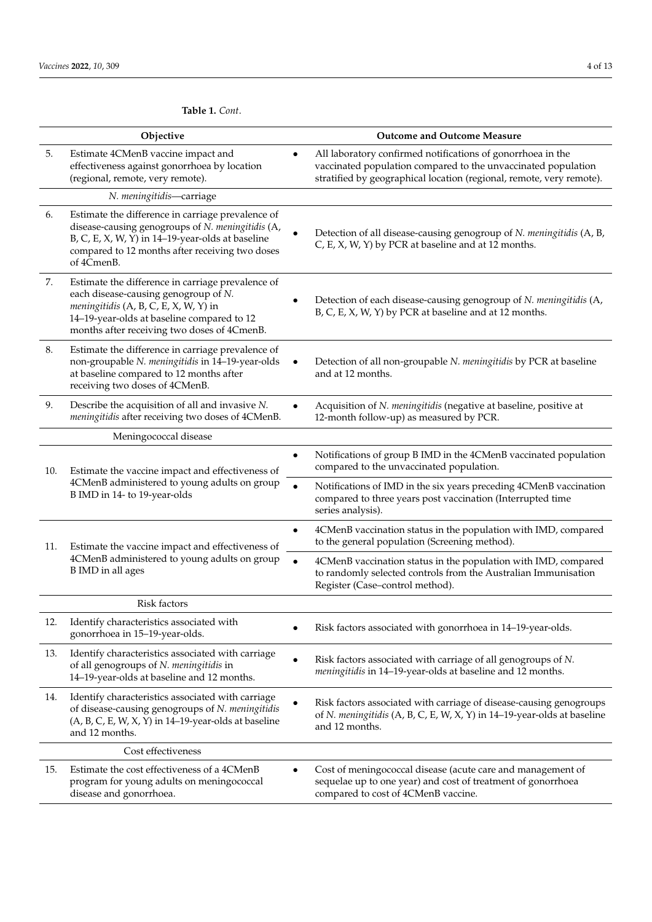# **Table 1.** *Cont*.

|              | Objective                                                                                                                                                                                                                       |           | <b>Outcome and Outcome Measure</b>                                                                                                                                                                   |
|--------------|---------------------------------------------------------------------------------------------------------------------------------------------------------------------------------------------------------------------------------|-----------|------------------------------------------------------------------------------------------------------------------------------------------------------------------------------------------------------|
| 5.           | Estimate 4CMenB vaccine impact and<br>effectiveness against gonorrhoea by location<br>(regional, remote, very remote).                                                                                                          | $\bullet$ | All laboratory confirmed notifications of gonorrhoea in the<br>vaccinated population compared to the unvaccinated population<br>stratified by geographical location (regional, remote, very remote). |
|              | N. meningitidis-carriage                                                                                                                                                                                                        |           |                                                                                                                                                                                                      |
| 6.           | Estimate the difference in carriage prevalence of<br>disease-causing genogroups of N. meningitidis (A,<br>B, C, E, X, W, Y) in 14-19-year-olds at baseline<br>compared to 12 months after receiving two doses<br>of 4CmenB.     |           | Detection of all disease-causing genogroup of N. meningitidis (A, B,<br>C, E, X, W, Y) by PCR at baseline and at 12 months.                                                                          |
| 7.           | Estimate the difference in carriage prevalence of<br>each disease-causing genogroup of N.<br>meningitidis (A, B, C, E, X, W, Y) in<br>14-19-year-olds at baseline compared to 12<br>months after receiving two doses of 4CmenB. |           | Detection of each disease-causing genogroup of N. meningitidis (A,<br>B, C, E, X, W, Y) by PCR at baseline and at 12 months.                                                                         |
| 8.           | Estimate the difference in carriage prevalence of<br>non-groupable N. meningitidis in 14-19-year-olds<br>at baseline compared to 12 months after<br>receiving two doses of 4CMenB.                                              |           | Detection of all non-groupable N. meningitidis by PCR at baseline<br>and at 12 months.                                                                                                               |
| 9.           | Describe the acquisition of all and invasive N.<br>meningitidis after receiving two doses of 4CMenB.                                                                                                                            |           | Acquisition of N. meningitidis (negative at baseline, positive at<br>12-month follow-up) as measured by PCR.                                                                                         |
|              | Meningococcal disease                                                                                                                                                                                                           |           |                                                                                                                                                                                                      |
| 10.          | Estimate the vaccine impact and effectiveness of<br>4CMenB administered to young adults on group<br>B IMD in 14- to 19-year-olds                                                                                                | ٠         | Notifications of group B IMD in the 4CMenB vaccinated population<br>compared to the unvaccinated population.                                                                                         |
|              |                                                                                                                                                                                                                                 | $\bullet$ | Notifications of IMD in the six years preceding 4CMenB vaccination<br>compared to three years post vaccination (Interrupted time<br>series analysis).                                                |
| 11.          | Estimate the vaccine impact and effectiveness of<br>4CMenB administered to young adults on group<br><b>B</b> IMD in all ages                                                                                                    |           | 4CMenB vaccination status in the population with IMD, compared<br>to the general population (Screening method).                                                                                      |
|              |                                                                                                                                                                                                                                 | $\bullet$ | 4CMenB vaccination status in the population with IMD, compared<br>to randomly selected controls from the Australian Immunisation<br>Register (Case-control method).                                  |
| Risk factors |                                                                                                                                                                                                                                 |           |                                                                                                                                                                                                      |
| 12.          | Identify characteristics associated with<br>gonorrhoea in 15-19-year-olds.                                                                                                                                                      |           | Risk factors associated with gonorrhoea in 14-19-year-olds.                                                                                                                                          |
| 13.          | Identify characteristics associated with carriage<br>of all genogroups of N. meningitidis in<br>14-19-year-olds at baseline and 12 months.                                                                                      | $\bullet$ | Risk factors associated with carriage of all genogroups of N.<br>meningitidis in 14-19-year-olds at baseline and 12 months.                                                                          |
| 14.          | Identify characteristics associated with carriage<br>of disease-causing genogroups of N. meningitidis<br>$(A, B, C, E, W, X, Y)$ in 14-19-year-olds at baseline<br>and 12 months.                                               |           | Risk factors associated with carriage of disease-causing genogroups<br>of N. meningitidis (A, B, C, E, W, X, Y) in 14-19-year-olds at baseline<br>and 12 months.                                     |
|              | Cost effectiveness                                                                                                                                                                                                              |           |                                                                                                                                                                                                      |
| 15.          | Estimate the cost effectiveness of a 4CMenB<br>program for young adults on meningococcal<br>disease and gonorrhoea.                                                                                                             |           | Cost of meningococcal disease (acute care and management of<br>sequelae up to one year) and cost of treatment of gonorrhoea<br>compared to cost of 4CMenB vaccine.                                   |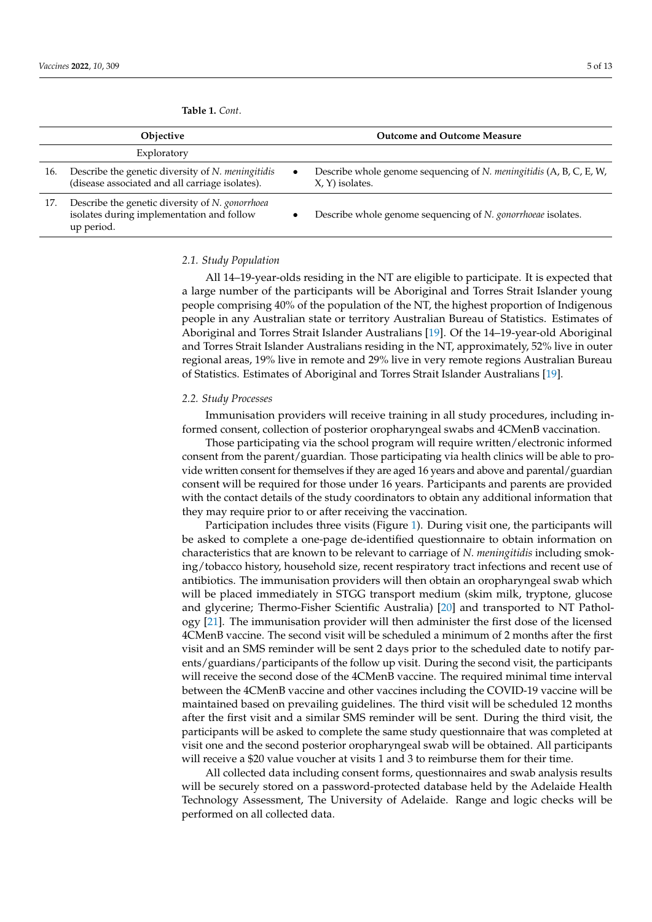|     | <b>Objective</b>                                                                                            |           | <b>Outcome and Outcome Measure</b>                                                     |
|-----|-------------------------------------------------------------------------------------------------------------|-----------|----------------------------------------------------------------------------------------|
|     | Exploratory                                                                                                 |           |                                                                                        |
| 16. | Describe the genetic diversity of <i>N. meningitidis</i><br>(disease associated and all carriage isolates). | $\bullet$ | Describe whole genome sequencing of N. meningitidis (A, B, C, E, W,<br>X, Y) isolates. |
|     | $1\overline{7}$ . Deceniled the second collection of $M$ corrections.                                       |           |                                                                                        |

**Table 1.** *Cont*.

17. Describe the genetic diversity of *N. gonorrhoea* isolates during implementation and follow up period.

• Describe whole genome sequencing of *N. gonorrhoeae* isolates.

#### *2.1. Study Population*

All 14–19-year-olds residing in the NT are eligible to participate. It is expected that a large number of the participants will be Aboriginal and Torres Strait Islander young people comprising 40% of the population of the NT, the highest proportion of Indigenous people in any Australian state or territory Australian Bureau of Statistics. Estimates of Aboriginal and Torres Strait Islander Australians [\[19\]](#page-13-0). Of the 14–19-year-old Aboriginal and Torres Strait Islander Australians residing in the NT, approximately, 52% live in outer regional areas, 19% live in remote and 29% live in very remote regions Australian Bureau of Statistics. Estimates of Aboriginal and Torres Strait Islander Australians [\[19\]](#page-13-0).

#### *2.2. Study Processes*

Immunisation providers will receive training in all study procedures, including informed consent, collection of posterior oropharyngeal swabs and 4CMenB vaccination.

Those participating via the school program will require written/electronic informed consent from the parent/guardian. Those participating via health clinics will be able to provide written consent for themselves if they are aged 16 years and above and parental/guardian consent will be required for those under 16 years. Participants and parents are provided with the contact details of the study coordinators to obtain any additional information that they may require prior to or after receiving the vaccination.

Participation includes three visits (Figure [1\)](#page-6-0). During visit one, the participants will be asked to complete a one-page de-identified questionnaire to obtain information on characteristics that are known to be relevant to carriage of *N. meningitidis* including smoking/tobacco history, household size, recent respiratory tract infections and recent use of antibiotics. The immunisation providers will then obtain an oropharyngeal swab which will be placed immediately in STGG transport medium (skim milk, tryptone, glucose and glycerine; Thermo-Fisher Scientific Australia) [\[20\]](#page-13-1) and transported to NT Pathology [\[21\]](#page-13-2). The immunisation provider will then administer the first dose of the licensed 4CMenB vaccine. The second visit will be scheduled a minimum of 2 months after the first visit and an SMS reminder will be sent 2 days prior to the scheduled date to notify parents/guardians/participants of the follow up visit. During the second visit, the participants will receive the second dose of the 4CMenB vaccine. The required minimal time interval between the 4CMenB vaccine and other vaccines including the COVID-19 vaccine will be maintained based on prevailing guidelines. The third visit will be scheduled 12 months after the first visit and a similar SMS reminder will be sent. During the third visit, the participants will be asked to complete the same study questionnaire that was completed at visit one and the second posterior oropharyngeal swab will be obtained. All participants will receive a \$20 value voucher at visits 1 and 3 to reimburse them for their time.

All collected data including consent forms, questionnaires and swab analysis results will be securely stored on a password-protected database held by the Adelaide Health Technology Assessment, The University of Adelaide. Range and logic checks will be performed on all collected data.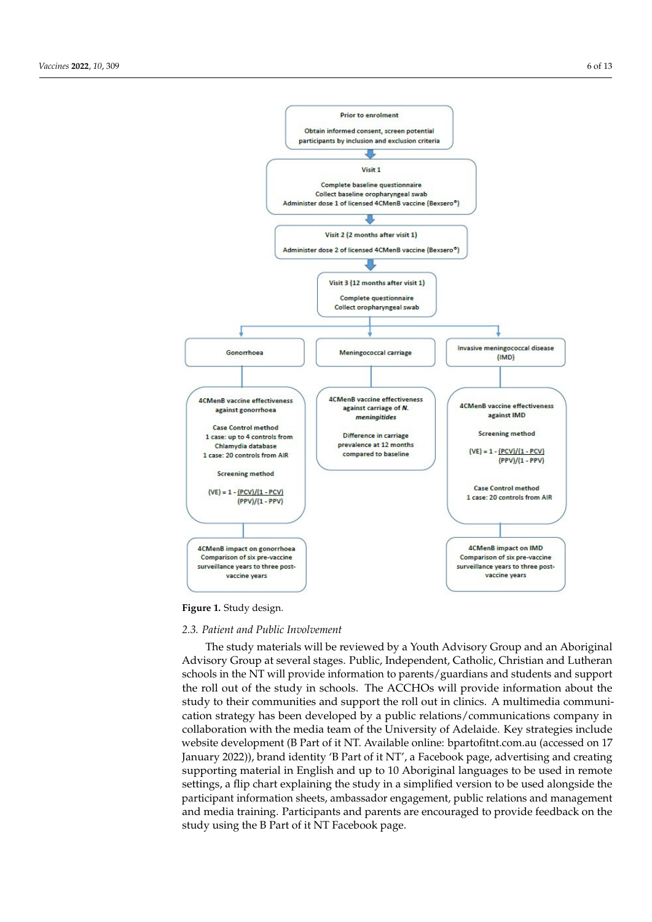<span id="page-6-0"></span>

**Figure 1.** Study design.

**Figure 1.** Study design.

# *2.3. Patient and Public Involvement*

The study materials will be reviewed by a Youth Advisory Group and an Aboriginal Advisory Group at several stages. Public, Independent, Catholic, Christian and Lutheran schools in the NT will provide information to parents/guardians and students and support the roll out of the study in schools. The ACCHOs will provide information about the cation strategy has been developed by a public relations/communications company in study to their communities and support the roll out in clinics. A multimedia communicollaboration with the media team of the University of Adelaide. Key strategies include website development (B Part of it NT. Available online: bpartofitnt.com.au (accessed on 17 January 2022)), brand identity 'B Part of it NT', a Facebook page, advertising and creating supporting material in English and up to 10 Aboriginal languages to be used in remote settings, a flip chart explaining the study in a simplified version to be used alongside the participant information sheets, ambassador engagement, public relations and management and media training. Participants and parents are encouraged to provide feedback on the study using the B Part of it NT Facebook page.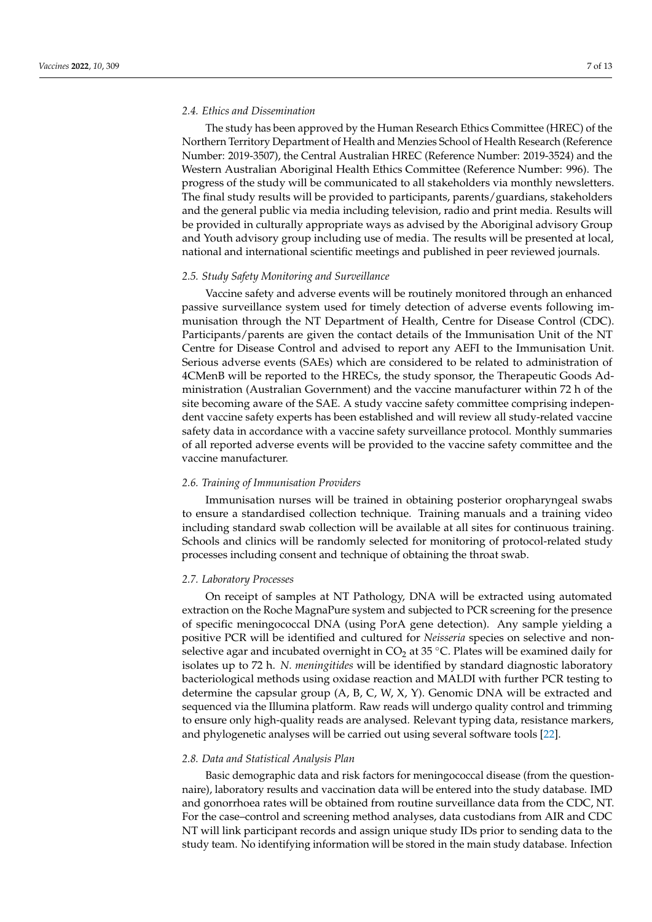# *2.4. Ethics and Dissemination*

The study has been approved by the Human Research Ethics Committee (HREC) of the Northern Territory Department of Health and Menzies School of Health Research (Reference Number: 2019-3507), the Central Australian HREC (Reference Number: 2019-3524) and the Western Australian Aboriginal Health Ethics Committee (Reference Number: 996). The progress of the study will be communicated to all stakeholders via monthly newsletters. The final study results will be provided to participants, parents/guardians, stakeholders and the general public via media including television, radio and print media. Results will be provided in culturally appropriate ways as advised by the Aboriginal advisory Group and Youth advisory group including use of media. The results will be presented at local, national and international scientific meetings and published in peer reviewed journals.

# *2.5. Study Safety Monitoring and Surveillance*

Vaccine safety and adverse events will be routinely monitored through an enhanced passive surveillance system used for timely detection of adverse events following immunisation through the NT Department of Health, Centre for Disease Control (CDC). Participants/parents are given the contact details of the Immunisation Unit of the NT Centre for Disease Control and advised to report any AEFI to the Immunisation Unit. Serious adverse events (SAEs) which are considered to be related to administration of 4CMenB will be reported to the HRECs, the study sponsor, the Therapeutic Goods Administration (Australian Government) and the vaccine manufacturer within 72 h of the site becoming aware of the SAE. A study vaccine safety committee comprising independent vaccine safety experts has been established and will review all study-related vaccine safety data in accordance with a vaccine safety surveillance protocol. Monthly summaries of all reported adverse events will be provided to the vaccine safety committee and the vaccine manufacturer.

#### *2.6. Training of Immunisation Providers*

Immunisation nurses will be trained in obtaining posterior oropharyngeal swabs to ensure a standardised collection technique. Training manuals and a training video including standard swab collection will be available at all sites for continuous training. Schools and clinics will be randomly selected for monitoring of protocol-related study processes including consent and technique of obtaining the throat swab.

#### *2.7. Laboratory Processes*

On receipt of samples at NT Pathology, DNA will be extracted using automated extraction on the Roche MagnaPure system and subjected to PCR screening for the presence of specific meningococcal DNA (using PorA gene detection). Any sample yielding a positive PCR will be identified and cultured for *Neisseria* species on selective and nonselective agar and incubated overnight in  $CO<sub>2</sub>$  at 35 °C. Plates will be examined daily for isolates up to 72 h. *N. meningitides* will be identified by standard diagnostic laboratory bacteriological methods using oxidase reaction and MALDI with further PCR testing to determine the capsular group (A, B, C, W, X, Y). Genomic DNA will be extracted and sequenced via the Illumina platform. Raw reads will undergo quality control and trimming to ensure only high-quality reads are analysed. Relevant typing data, resistance markers, and phylogenetic analyses will be carried out using several software tools [\[22\]](#page-13-3).

#### *2.8. Data and Statistical Analysis Plan*

Basic demographic data and risk factors for meningococcal disease (from the questionnaire), laboratory results and vaccination data will be entered into the study database. IMD and gonorrhoea rates will be obtained from routine surveillance data from the CDC, NT. For the case–control and screening method analyses, data custodians from AIR and CDC NT will link participant records and assign unique study IDs prior to sending data to the study team. No identifying information will be stored in the main study database. Infection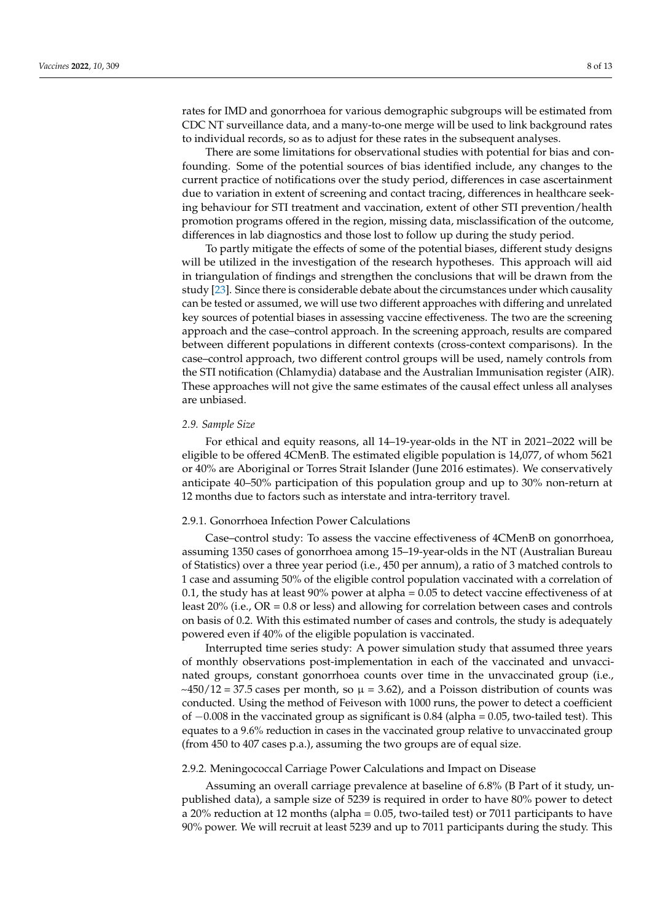rates for IMD and gonorrhoea for various demographic subgroups will be estimated from CDC NT surveillance data, and a many-to-one merge will be used to link background rates to individual records, so as to adjust for these rates in the subsequent analyses.

There are some limitations for observational studies with potential for bias and confounding. Some of the potential sources of bias identified include, any changes to the current practice of notifications over the study period, differences in case ascertainment due to variation in extent of screening and contact tracing, differences in healthcare seeking behaviour for STI treatment and vaccination, extent of other STI prevention/health promotion programs offered in the region, missing data, misclassification of the outcome, differences in lab diagnostics and those lost to follow up during the study period.

To partly mitigate the effects of some of the potential biases, different study designs will be utilized in the investigation of the research hypotheses. This approach will aid in triangulation of findings and strengthen the conclusions that will be drawn from the study [\[23\]](#page-13-4). Since there is considerable debate about the circumstances under which causality can be tested or assumed, we will use two different approaches with differing and unrelated key sources of potential biases in assessing vaccine effectiveness. The two are the screening approach and the case–control approach. In the screening approach, results are compared between different populations in different contexts (cross-context comparisons). In the case–control approach, two different control groups will be used, namely controls from the STI notification (Chlamydia) database and the Australian Immunisation register (AIR). These approaches will not give the same estimates of the causal effect unless all analyses are unbiased.

# *2.9. Sample Size*

For ethical and equity reasons, all 14–19-year-olds in the NT in 2021–2022 will be eligible to be offered 4CMenB. The estimated eligible population is 14,077, of whom 5621 or 40% are Aboriginal or Torres Strait Islander (June 2016 estimates). We conservatively anticipate 40–50% participation of this population group and up to 30% non-return at 12 months due to factors such as interstate and intra-territory travel.

# 2.9.1. Gonorrhoea Infection Power Calculations

Case–control study: To assess the vaccine effectiveness of 4CMenB on gonorrhoea, assuming 1350 cases of gonorrhoea among 15–19-year-olds in the NT (Australian Bureau of Statistics) over a three year period (i.e., 450 per annum), a ratio of 3 matched controls to 1 case and assuming 50% of the eligible control population vaccinated with a correlation of 0.1, the study has at least 90% power at alpha = 0.05 to detect vaccine effectiveness of at least  $20\%$  (i.e., OR = 0.8 or less) and allowing for correlation between cases and controls on basis of 0.2. With this estimated number of cases and controls, the study is adequately powered even if 40% of the eligible population is vaccinated.

Interrupted time series study: A power simulation study that assumed three years of monthly observations post-implementation in each of the vaccinated and unvaccinated groups, constant gonorrhoea counts over time in the unvaccinated group (i.e.,  $\sim$ 450/12 = 37.5 cases per month, so  $\mu$  = 3.62), and a Poisson distribution of counts was conducted. Using the method of Feiveson with 1000 runs, the power to detect a coefficient of −0.008 in the vaccinated group as significant is 0.84 (alpha = 0.05, two-tailed test). This equates to a 9.6% reduction in cases in the vaccinated group relative to unvaccinated group (from 450 to 407 cases p.a.), assuming the two groups are of equal size.

#### 2.9.2. Meningococcal Carriage Power Calculations and Impact on Disease

Assuming an overall carriage prevalence at baseline of 6.8% (B Part of it study, unpublished data), a sample size of 5239 is required in order to have 80% power to detect a 20% reduction at 12 months (alpha = 0.05, two-tailed test) or 7011 participants to have 90% power. We will recruit at least 5239 and up to 7011 participants during the study. This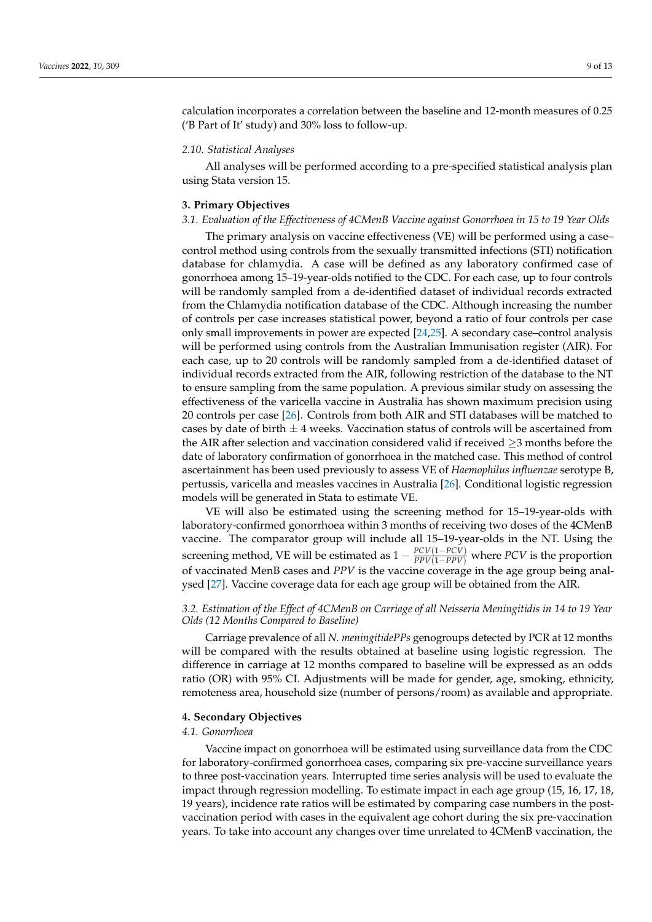calculation incorporates a correlation between the baseline and 12-month measures of 0.25 ('B Part of It' study) and 30% loss to follow-up.

#### *2.10. Statistical Analyses*

All analyses will be performed according to a pre-specified statistical analysis plan using Stata version 15.

#### **3. Primary Objectives**

# *3.1. Evaluation of the Effectiveness of 4CMenB Vaccine against Gonorrhoea in 15 to 19 Year Olds*

The primary analysis on vaccine effectiveness (VE) will be performed using a case– control method using controls from the sexually transmitted infections (STI) notification database for chlamydia. A case will be defined as any laboratory confirmed case of gonorrhoea among 15–19-year-olds notified to the CDC. For each case, up to four controls will be randomly sampled from a de-identified dataset of individual records extracted from the Chlamydia notification database of the CDC. Although increasing the number of controls per case increases statistical power, beyond a ratio of four controls per case only small improvements in power are expected [\[24,](#page-13-5)[25\]](#page-13-6). A secondary case–control analysis will be performed using controls from the Australian Immunisation register (AIR). For each case, up to 20 controls will be randomly sampled from a de-identified dataset of individual records extracted from the AIR, following restriction of the database to the NT to ensure sampling from the same population. A previous similar study on assessing the effectiveness of the varicella vaccine in Australia has shown maximum precision using 20 controls per case [\[26\]](#page-13-7). Controls from both AIR and STI databases will be matched to cases by date of birth  $\pm$  4 weeks. Vaccination status of controls will be ascertained from the AIR after selection and vaccination considered valid if received  $\geq$ 3 months before the date of laboratory confirmation of gonorrhoea in the matched case. This method of control ascertainment has been used previously to assess VE of *Haemophilus influenzae* serotype B, pertussis, varicella and measles vaccines in Australia [\[26\]](#page-13-7). Conditional logistic regression models will be generated in Stata to estimate VE.

VE will also be estimated using the screening method for 15–19-year-olds with laboratory-confirmed gonorrhoea within 3 months of receiving two doses of the 4CMenB vaccine. The comparator group will include all 15–19-year-olds in the NT. Using the screening method, VE will be estimated as  $1 - \frac{PCV(1-PCV)}{PPV(1-PPV)}$  where *PCV* is the proportion of vaccinated MenB cases and *PPV* is the vaccine coverage in the age group being analysed [\[27\]](#page-13-8). Vaccine coverage data for each age group will be obtained from the AIR.

# *3.2. Estimation of the Effect of 4CMenB on Carriage of all Neisseria Meningitidis in 14 to 19 Year Olds (12 Months Compared to Baseline)*

Carriage prevalence of all *N. meningitidePPs* genogroups detected by PCR at 12 months will be compared with the results obtained at baseline using logistic regression. The difference in carriage at 12 months compared to baseline will be expressed as an odds ratio (OR) with 95% CI. Adjustments will be made for gender, age, smoking, ethnicity, remoteness area, household size (number of persons/room) as available and appropriate.

#### **4. Secondary Objectives**

#### *4.1. Gonorrhoea*

Vaccine impact on gonorrhoea will be estimated using surveillance data from the CDC for laboratory-confirmed gonorrhoea cases, comparing six pre-vaccine surveillance years to three post-vaccination years. Interrupted time series analysis will be used to evaluate the impact through regression modelling. To estimate impact in each age group (15, 16, 17, 18, 19 years), incidence rate ratios will be estimated by comparing case numbers in the postvaccination period with cases in the equivalent age cohort during the six pre-vaccination years. To take into account any changes over time unrelated to 4CMenB vaccination, the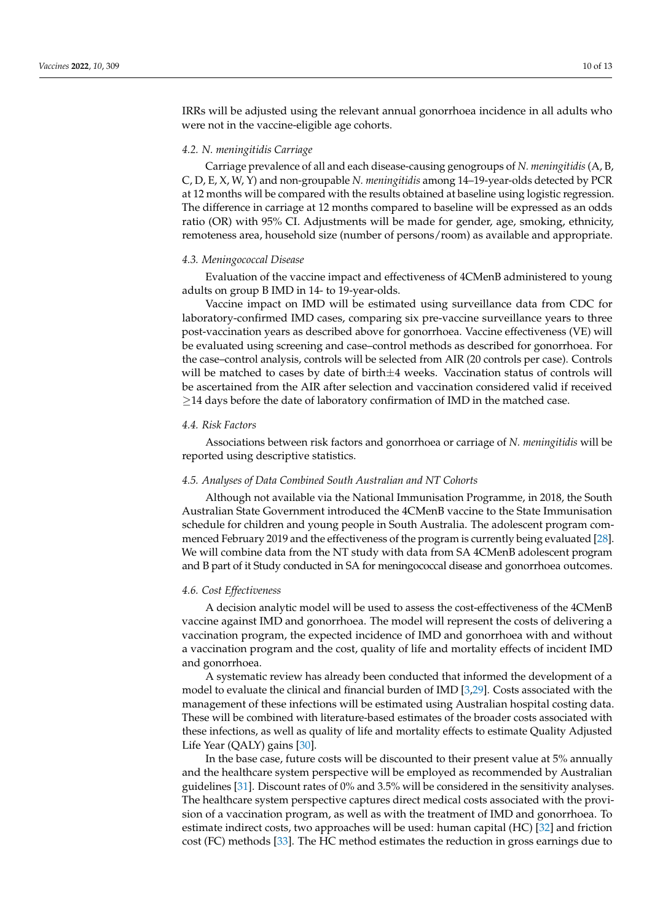IRRs will be adjusted using the relevant annual gonorrhoea incidence in all adults who were not in the vaccine-eligible age cohorts.

#### *4.2. N. meningitidis Carriage*

Carriage prevalence of all and each disease-causing genogroups of *N. meningitidis* (A, B, C, D, E, X, W, Y) and non-groupable *N. meningitidis* among 14–19-year-olds detected by PCR at 12 months will be compared with the results obtained at baseline using logistic regression. The difference in carriage at 12 months compared to baseline will be expressed as an odds ratio (OR) with 95% CI. Adjustments will be made for gender, age, smoking, ethnicity, remoteness area, household size (number of persons/room) as available and appropriate.

#### *4.3. Meningococcal Disease*

Evaluation of the vaccine impact and effectiveness of 4CMenB administered to young adults on group B IMD in 14- to 19-year-olds.

Vaccine impact on IMD will be estimated using surveillance data from CDC for laboratory-confirmed IMD cases, comparing six pre-vaccine surveillance years to three post-vaccination years as described above for gonorrhoea. Vaccine effectiveness (VE) will be evaluated using screening and case–control methods as described for gonorrhoea. For the case–control analysis, controls will be selected from AIR (20 controls per case). Controls will be matched to cases by date of birth $\pm 4$  weeks. Vaccination status of controls will be ascertained from the AIR after selection and vaccination considered valid if received  $\geq$ 14 days before the date of laboratory confirmation of IMD in the matched case.

# *4.4. Risk Factors*

Associations between risk factors and gonorrhoea or carriage of *N. meningitidis* will be reported using descriptive statistics.

#### *4.5. Analyses of Data Combined South Australian and NT Cohorts*

Although not available via the National Immunisation Programme, in 2018, the South Australian State Government introduced the 4CMenB vaccine to the State Immunisation schedule for children and young people in South Australia. The adolescent program commenced February 2019 and the effectiveness of the program is currently being evaluated [\[28\]](#page-13-9). We will combine data from the NT study with data from SA 4CMenB adolescent program and B part of it Study conducted in SA for meningococcal disease and gonorrhoea outcomes.

# *4.6. Cost Effectiveness*

A decision analytic model will be used to assess the cost-effectiveness of the 4CMenB vaccine against IMD and gonorrhoea. The model will represent the costs of delivering a vaccination program, the expected incidence of IMD and gonorrhoea with and without a vaccination program and the cost, quality of life and mortality effects of incident IMD and gonorrhoea.

A systematic review has already been conducted that informed the development of a model to evaluate the clinical and financial burden of IMD [\[3](#page-12-2)[,29\]](#page-13-10). Costs associated with the management of these infections will be estimated using Australian hospital costing data. These will be combined with literature-based estimates of the broader costs associated with these infections, as well as quality of life and mortality effects to estimate Quality Adjusted Life Year (QALY) gains [\[30\]](#page-13-11).

In the base case, future costs will be discounted to their present value at 5% annually and the healthcare system perspective will be employed as recommended by Australian guidelines [\[31\]](#page-13-12). Discount rates of 0% and 3.5% will be considered in the sensitivity analyses. The healthcare system perspective captures direct medical costs associated with the provision of a vaccination program, as well as with the treatment of IMD and gonorrhoea. To estimate indirect costs, two approaches will be used: human capital (HC) [\[32\]](#page-13-13) and friction cost (FC) methods [\[33\]](#page-13-14). The HC method estimates the reduction in gross earnings due to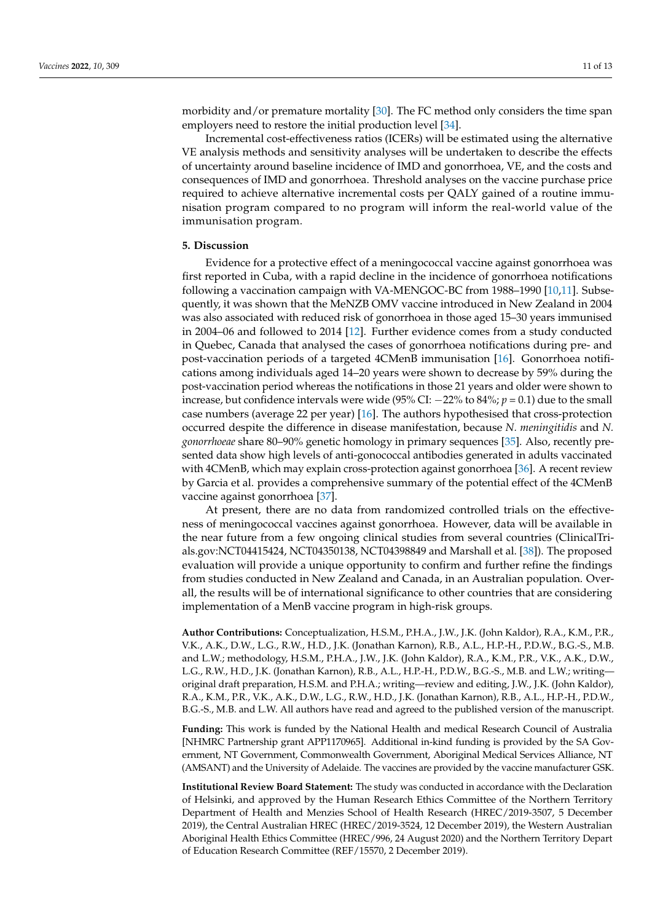morbidity and/or premature mortality [\[30\]](#page-13-11). The FC method only considers the time span employers need to restore the initial production level [\[34\]](#page-13-15).

Incremental cost-effectiveness ratios (ICERs) will be estimated using the alternative VE analysis methods and sensitivity analyses will be undertaken to describe the effects of uncertainty around baseline incidence of IMD and gonorrhoea, VE, and the costs and consequences of IMD and gonorrhoea. Threshold analyses on the vaccine purchase price required to achieve alternative incremental costs per QALY gained of a routine immunisation program compared to no program will inform the real-world value of the immunisation program.

# **5. Discussion**

Evidence for a protective effect of a meningococcal vaccine against gonorrhoea was first reported in Cuba, with a rapid decline in the incidence of gonorrhoea notifications following a vaccination campaign with VA-MENGOC-BC from 1988–1990 [\[10,](#page-12-9)[11\]](#page-12-17). Subsequently, it was shown that the MeNZB OMV vaccine introduced in New Zealand in 2004 was also associated with reduced risk of gonorrhoea in those aged 15–30 years immunised in 2004–06 and followed to 2014 [\[12\]](#page-12-10). Further evidence comes from a study conducted in Quebec, Canada that analysed the cases of gonorrhoea notifications during pre- and post-vaccination periods of a targeted 4CMenB immunisation [\[16\]](#page-12-14). Gonorrhoea notifications among individuals aged 14–20 years were shown to decrease by 59% during the post-vaccination period whereas the notifications in those 21 years and older were shown to increase, but confidence intervals were wide (95% CI: −22% to 84%; *p* = 0.1) due to the small case numbers (average 22 per year) [\[16\]](#page-12-14). The authors hypothesised that cross-protection occurred despite the difference in disease manifestation, because *N. meningitidis* and *N. gonorrhoeae* share 80–90% genetic homology in primary sequences [\[35\]](#page-13-16). Also, recently presented data show high levels of anti-gonococcal antibodies generated in adults vaccinated with 4CMenB, which may explain cross-protection against gonorrhoea [\[36\]](#page-13-17). A recent review by Garcia et al. provides a comprehensive summary of the potential effect of the 4CMenB vaccine against gonorrhoea [\[37\]](#page-13-18).

At present, there are no data from randomized controlled trials on the effectiveness of meningococcal vaccines against gonorrhoea. However, data will be available in the near future from a few ongoing clinical studies from several countries (ClinicalTrials.gov:NCT04415424, NCT04350138, NCT04398849 and Marshall et al. [\[38\]](#page-13-19)). The proposed evaluation will provide a unique opportunity to confirm and further refine the findings from studies conducted in New Zealand and Canada, in an Australian population. Overall, the results will be of international significance to other countries that are considering implementation of a MenB vaccine program in high-risk groups.

**Author Contributions:** Conceptualization, H.S.M., P.H.A., J.W., J.K. (John Kaldor), R.A., K.M., P.R., V.K., A.K., D.W., L.G., R.W., H.D., J.K. (Jonathan Karnon), R.B., A.L., H.P.-H., P.D.W., B.G.-S., M.B. and L.W.; methodology, H.S.M., P.H.A., J.W., J.K. (John Kaldor), R.A., K.M., P.R., V.K., A.K., D.W., L.G., R.W., H.D., J.K. (Jonathan Karnon), R.B., A.L., H.P.-H., P.D.W., B.G.-S., M.B. and L.W.; writing original draft preparation, H.S.M. and P.H.A.; writing—review and editing, J.W., J.K. (John Kaldor), R.A., K.M., P.R., V.K., A.K., D.W., L.G., R.W., H.D., J.K. (Jonathan Karnon), R.B., A.L., H.P.-H., P.D.W., B.G.-S., M.B. and L.W. All authors have read and agreed to the published version of the manuscript.

**Funding:** This work is funded by the National Health and medical Research Council of Australia [NHMRC Partnership grant APP1170965]. Additional in-kind funding is provided by the SA Government, NT Government, Commonwealth Government, Aboriginal Medical Services Alliance, NT (AMSANT) and the University of Adelaide. The vaccines are provided by the vaccine manufacturer GSK.

**Institutional Review Board Statement:** The study was conducted in accordance with the Declaration of Helsinki, and approved by the Human Research Ethics Committee of the Northern Territory Department of Health and Menzies School of Health Research (HREC/2019-3507, 5 December 2019), the Central Australian HREC (HREC/2019-3524, 12 December 2019), the Western Australian Aboriginal Health Ethics Committee (HREC/996, 24 August 2020) and the Northern Territory Depart of Education Research Committee (REF/15570, 2 December 2019).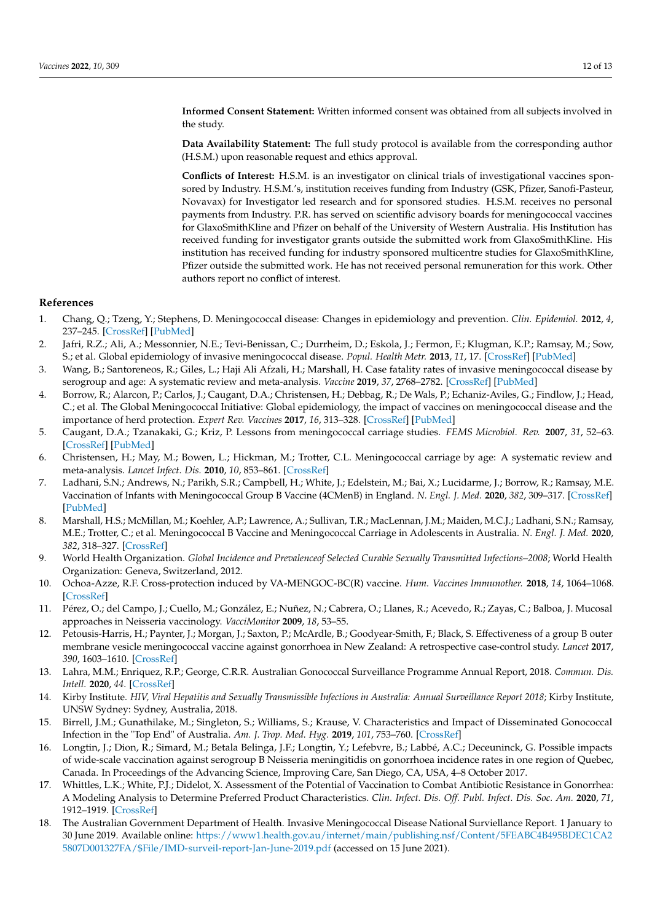the study.

**Data Availability Statement:** The full study protocol is available from the corresponding author (H.S.M.) upon reasonable request and ethics approval.

**Conflicts of Interest:** H.S.M. is an investigator on clinical trials of investigational vaccines sponsored by Industry. H.S.M.'s, institution receives funding from Industry (GSK, Pfizer, Sanofi-Pasteur, Novavax) for Investigator led research and for sponsored studies. H.S.M. receives no personal payments from Industry. P.R. has served on scientific advisory boards for meningococcal vaccines for GlaxoSmithKline and Pfizer on behalf of the University of Western Australia. His Institution has received funding for investigator grants outside the submitted work from GlaxoSmithKline. His institution has received funding for industry sponsored multicentre studies for GlaxoSmithKline, Pfizer outside the submitted work. He has not received personal remuneration for this work. Other authors report no conflict of interest.

#### **References**

- <span id="page-12-0"></span>1. Chang, Q.; Tzeng, Y.; Stephens, D. Meningococcal disease: Changes in epidemiology and prevention. *Clin. Epidemiol.* **2012**, *4*, 237–245. [\[CrossRef\]](http://doi.org/10.2147/clep.s28410) [\[PubMed\]](http://www.ncbi.nlm.nih.gov/pubmed/23071402)
- <span id="page-12-1"></span>2. Jafri, R.Z.; Ali, A.; Messonnier, N.E.; Tevi-Benissan, C.; Durrheim, D.; Eskola, J.; Fermon, F.; Klugman, K.P.; Ramsay, M.; Sow, S.; et al. Global epidemiology of invasive meningococcal disease. *Popul. Health Metr.* **2013**, *11*, 17. [\[CrossRef\]](http://doi.org/10.1186/1478-7954-11-17) [\[PubMed\]](http://www.ncbi.nlm.nih.gov/pubmed/24016339)
- <span id="page-12-2"></span>3. Wang, B.; Santoreneos, R.; Giles, L.; Haji Ali Afzali, H.; Marshall, H. Case fatality rates of invasive meningococcal disease by serogroup and age: A systematic review and meta-analysis. *Vaccine* **2019**, *37*, 2768–2782. [\[CrossRef\]](http://doi.org/10.1016/j.vaccine.2019.04.020) [\[PubMed\]](http://www.ncbi.nlm.nih.gov/pubmed/30987851)
- <span id="page-12-3"></span>4. Borrow, R.; Alarcon, P.; Carlos, J.; Caugant, D.A.; Christensen, H.; Debbag, R.; De Wals, P.; Echaniz-Aviles, G.; Findlow, J.; Head, C.; et al. The Global Meningococcal Initiative: Global epidemiology, the impact of vaccines on meningococcal disease and the importance of herd protection. *Expert Rev. Vaccines* **2017**, *16*, 313–328. [\[CrossRef\]](http://doi.org/10.1080/14760584.2017.1258308) [\[PubMed\]](http://www.ncbi.nlm.nih.gov/pubmed/27820969)
- <span id="page-12-4"></span>5. Caugant, D.A.; Tzanakaki, G.; Kriz, P. Lessons from meningococcal carriage studies. *FEMS Microbiol. Rev.* **2007**, *31*, 52–63. [\[CrossRef\]](http://doi.org/10.1111/j.1574-6976.2006.00052.x) [\[PubMed\]](http://www.ncbi.nlm.nih.gov/pubmed/17233635)
- <span id="page-12-5"></span>6. Christensen, H.; May, M.; Bowen, L.; Hickman, M.; Trotter, C.L. Meningococcal carriage by age: A systematic review and meta-analysis. *Lancet Infect. Dis.* **2010**, *10*, 853–861. [\[CrossRef\]](http://doi.org/10.1016/S1473-3099(10)70251-6)
- <span id="page-12-6"></span>7. Ladhani, S.N.; Andrews, N.; Parikh, S.R.; Campbell, H.; White, J.; Edelstein, M.; Bai, X.; Lucidarme, J.; Borrow, R.; Ramsay, M.E. Vaccination of Infants with Meningococcal Group B Vaccine (4CMenB) in England. *N. Engl. J. Med.* **2020**, *382*, 309–317. [\[CrossRef\]](http://doi.org/10.1056/NEJMoa1901229) [\[PubMed\]](http://www.ncbi.nlm.nih.gov/pubmed/31971676)
- <span id="page-12-7"></span>8. Marshall, H.S.; McMillan, M.; Koehler, A.P.; Lawrence, A.; Sullivan, T.R.; MacLennan, J.M.; Maiden, M.C.J.; Ladhani, S.N.; Ramsay, M.E.; Trotter, C.; et al. Meningococcal B Vaccine and Meningococcal Carriage in Adolescents in Australia. *N. Engl. J. Med.* **2020**, *382*, 318–327. [\[CrossRef\]](http://doi.org/10.1056/NEJMoa1900236)
- <span id="page-12-8"></span>9. World Health Organization. *Global Incidence and Prevalenceof Selected Curable Sexually Transmitted Infections–2008*; World Health Organization: Geneva, Switzerland, 2012.
- <span id="page-12-9"></span>10. Ochoa-Azze, R.F. Cross-protection induced by VA-MENGOC-BC(R) vaccine. *Hum. Vaccines Immunother.* **2018**, *14*, 1064–1068. [\[CrossRef\]](http://doi.org/10.1080/21645515.2018.1438028)
- <span id="page-12-17"></span>11. Pérez, O.; del Campo, J.; Cuello, M.; González, E.; Nuñez, N.; Cabrera, O.; Llanes, R.; Acevedo, R.; Zayas, C.; Balboa, J. Mucosal approaches in Neisseria vaccinology. *VacciMonitor* **2009**, *18*, 53–55.
- <span id="page-12-10"></span>12. Petousis-Harris, H.; Paynter, J.; Morgan, J.; Saxton, P.; McArdle, B.; Goodyear-Smith, F.; Black, S. Effectiveness of a group B outer membrane vesicle meningococcal vaccine against gonorrhoea in New Zealand: A retrospective case-control study. *Lancet* **2017**, *390*, 1603–1610. [\[CrossRef\]](http://doi.org/10.1016/S0140-6736(17)31449-6)
- <span id="page-12-11"></span>13. Lahra, M.M.; Enriquez, R.P.; George, C.R.R. Australian Gonococcal Surveillance Programme Annual Report, 2018. *Commun. Dis. Intell.* **2020**, *44*. [\[CrossRef\]](http://doi.org/10.33321/cdi.2020.44.4)
- <span id="page-12-12"></span>14. Kirby Institute. *HIV, Viral Hepatitis and Sexually Transmissible Infections in Australia: Annual Surveillance Report 2018*; Kirby Institute, UNSW Sydney: Sydney, Australia, 2018.
- <span id="page-12-13"></span>15. Birrell, J.M.; Gunathilake, M.; Singleton, S.; Williams, S.; Krause, V. Characteristics and Impact of Disseminated Gonococcal Infection in the "Top End" of Australia. *Am. J. Trop. Med. Hyg.* **2019**, *101*, 753–760. [\[CrossRef\]](http://doi.org/10.4269/ajtmh.19-0288)
- <span id="page-12-14"></span>16. Longtin, J.; Dion, R.; Simard, M.; Betala Belinga, J.F.; Longtin, Y.; Lefebvre, B.; Labbé, A.C.; Deceuninck, G. Possible impacts of wide-scale vaccination against serogroup B Neisseria meningitidis on gonorrhoea incidence rates in one region of Quebec, Canada. In Proceedings of the Advancing Science, Improving Care, San Diego, CA, USA, 4–8 October 2017.
- <span id="page-12-15"></span>17. Whittles, L.K.; White, P.J.; Didelot, X. Assessment of the Potential of Vaccination to Combat Antibiotic Resistance in Gonorrhea: A Modeling Analysis to Determine Preferred Product Characteristics. *Clin. Infect. Dis. Off. Publ. Infect. Dis. Soc. Am.* **2020**, *71*, 1912–1919. [\[CrossRef\]](http://doi.org/10.1093/cid/ciz1241)
- <span id="page-12-16"></span>18. The Australian Government Department of Health. Invasive Meningococcal Disease National Surviellance Report. 1 January to 30 June 2019. Available online: [https://www1.health.gov.au/internet/main/publishing.nsf/Content/5FEABC4B495BDEC1CA2](https://www1.health.gov.au/internet/main/publishing.nsf/Content/5FEABC4B495BDEC1CA25807D001327FA/$File/IMD-surveil-report-Jan-June-2019.pdf) [5807D001327FA/\\$File/IMD-surveil-report-Jan-June-2019.pdf](https://www1.health.gov.au/internet/main/publishing.nsf/Content/5FEABC4B495BDEC1CA25807D001327FA/$File/IMD-surveil-report-Jan-June-2019.pdf) (accessed on 15 June 2021).